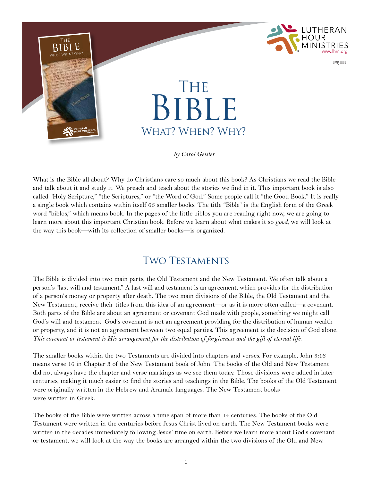

What is the Bible all about? Why do Christians care so much about this book? As Christians we read the Bible and talk about it and study it. We preach and teach about the stories we find in it. This important book is also called "Holy Scripture," "the Scriptures," or "the Word of God." Some people call it "the Good Book." It is really a single book which contains within itself 66 smaller books. The title "Bible" is the English form of the Greek word "biblos," which means book. In the pages of the little biblos you are reading right now, we are going to learn more about this important Christian book. Before we learn about what makes it so *good*, we will look at the way this book—with its collection of smaller books—is organized.

## Two Testaments

The Bible is divided into two main parts, the Old Testament and the New Testament. We often talk about a person's "last will and testament." A last will and testament is an agreement, which provides for the distribution of a person's money or property after death. The two main divisions of the Bible, the Old Testament and the New Testament, receive their titles from this idea of an agreement—or as it is more often called—a covenant. Both parts of the Bible are about an agreement or covenant God made with people, something we might call God's will and testament. God's covenant is not an agreement providing for the distribution of human wealth or property, and it is not an agreement between two equal parties. This agreement is the decision of God alone. *This covenant or testament is His arrangement for the distribution of forgiveness and the gift of eternal life*.

The smaller books within the two Testaments are divided into chapters and verses. For example, John 3:16 means verse 16 in Chapter 3 of the New Testament book of John. The books of the Old and New Testament did not always have the chapter and verse markings as we see them today. Those divisions were added in later centuries, making it much easier to find the stories and teachings in the Bible. The books of the Old Testament were originally written in the Hebrew and Aramaic languages. The New Testament books were written in Greek.

The books of the Bible were written across a time span of more than 14 centuries. The books of the Old Testament were written in the centuries before Jesus Christ lived on earth. The New Testament books were written in the decades immediately following Jesus' time on earth. Before we learn more about God's covenant or testament, we will look at the way the books are arranged within the two divisions of the Old and New.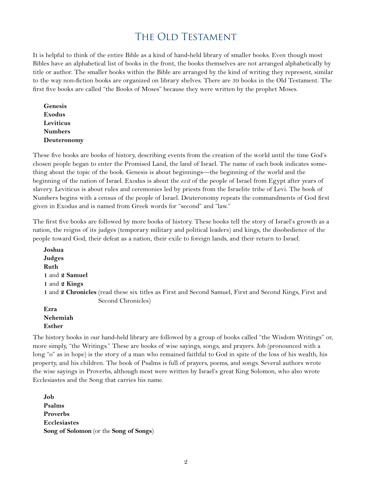### THE OLD TESTAMENT

It is helpful to think of the entire Bible as a kind of hand-held library of smaller books. Even though most Bibles have an alphabetical list of books in the front, the books themselves are not arranged alphabetically by title or author. The smaller books within the Bible are arranged by the kind of writing they represent, similar to the way non-fiction books are organized on library shelves. There are 39 books in the Old Testament. The first five books are called "the Books of Moses" because they were written by the prophet Moses.

**Genesis Exodus Leviticus Numbers Deuteronomy**

These five books are books of history, describing events from the creation of the world until the time God's chosen people began to enter the Promised Land, the land of Israel. The name of each book indicates something about the topic of the book. Genesis is about beginnings—the beginning of the world and the beginning of the nation of Israel. Exodus is about the *exit* of the people of Israel from Egypt after years of slavery. Leviticus is about rules and ceremonies led by priests from the Israelite tribe of Levi. The book of Numbers begins with a census of the people of Israel. Deuteronomy repeats the commandments of God first given in Exodus and is named from Greek words for "second" and "law."

The first five books are followed by more books of history. These books tell the story of Israel's growth as a nation, the reigns of its judges (temporary military and political leaders) and kings, the disobedience of the people toward God, their defeat as a nation, their exile to foreign lands, and their return to Israel.

**Joshua Judges Ruth 1** and **2 Samuel 1** and **2 Kings 1** and **2 Chronicles** (read these six titles as First and Second Samuel, First and Second Kings, First and Second Chronicles) **Ezra**

**Nehemiah Esther**

The history books in our hand-held library are followed by a group of books called "the Wisdom Writings" or, more simply, "the Writings." These are books of wise sayings, songs, and prayers. Job (pronounced with a long "o" as in hope) is the story of a man who remained faithful to God in spite of the loss of his wealth, his property, and his children. The book of Psalms is full of prayers, poems, and songs. Several authors wrote the wise sayings in Proverbs, although most were written by Israel's great King Solomon, who also wrote Ecclesiastes and the Song that carries his name.

**Job Psalms Proverbs Ecclesiastes Song of Solomon** (or the **Song of Songs**)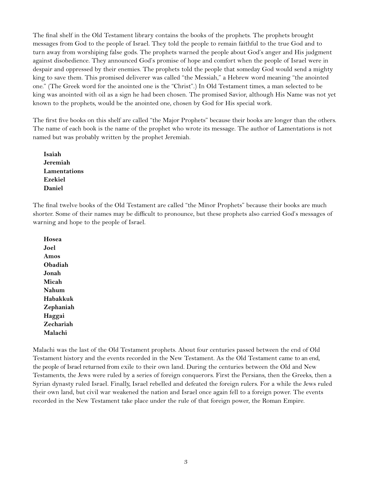The final shelf in the Old Testament library contains the books of the prophets. The prophets brought messages from God to the people of Israel. They told the people to remain faithful to the true God and to turn away from worshiping false gods. The prophets warned the people about God's anger and His judgment against disobedience. They announced God's promise of hope and comfort when the people of Israel were in despair and oppressed by their enemies. The prophets told the people that someday God would send a mighty king to save them. This promised deliverer was called "the Messiah," a Hebrew word meaning "the anointed one." (The Greek word for the anointed one is the "Christ".) In Old Testament times, a man selected to be king was anointed with oil as a sign he had been chosen. The promised Savior, although His Name was not yet known to the prophets, would be the anointed one, chosen by God for His special work.

The first five books on this shelf are called "the Major Prophets" because their books are longer than the others. The name of each book is the name of the prophet who wrote its message. The author of Lamentations is not named but was probably written by the prophet Jeremiah.

**Isaiah Jeremiah Lamentations Ezekiel Daniel**

The final twelve books of the Old Testament are called "the Minor Prophets" because their books are much shorter. Some of their names may be difficult to pronounce, but these prophets also carried God's messages of warning and hope to the people of Israel.

**Hosea Joel Amos Obadiah Jonah Micah Nahum Habakkuk Zephaniah Haggai Zechariah Malachi**

Malachi was the last of the Old Testament prophets. About four centuries passed between the end of Old Testament history and the events recorded in the New Testament. As the Old Testament came to an end, the people of Israel returned from exile to their own land. During the centuries between the Old and New Testaments, the Jews were ruled by a series of foreign conquerors. First the Persians, then the Greeks, then a Syrian dynasty ruled Israel. Finally, Israel rebelled and defeated the foreign rulers. For a while the Jews ruled their own land, but civil war weakened the nation and Israel once again fell to a foreign power. The events recorded in the New Testament take place under the rule of that foreign power, the Roman Empire.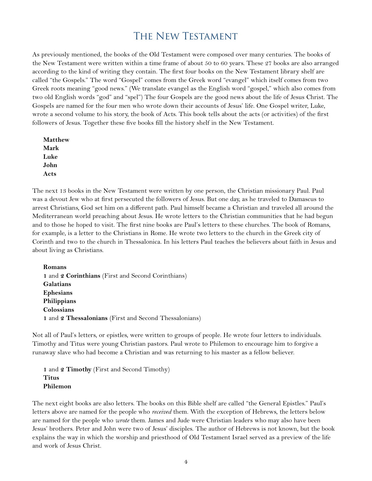### The New Testament

As previously mentioned, the books of the Old Testament were composed over many centuries. The books of the New Testament were written within a time frame of about 50 to 60 years. These 27 books are also arranged according to the kind of writing they contain. The first four books on the New Testament library shelf are called "the Gospels." The word "Gospel" comes from the Greek word "evangel" which itself comes from two Greek roots meaning "good news." (We translate evangel as the English word "gospel," which also comes from two old English words "god" and "spel") The four Gospels are the good news about the life of Jesus Christ. The Gospels are named for the four men who wrote down their accounts of Jesus' life. One Gospel writer, Luke, wrote a second volume to his story, the book of Acts. This book tells about the acts (or activities) of the first followers of Jesus. Together these five books fill the history shelf in the New Testament.

| <b>Matthew</b> |
|----------------|
| Mark           |
| Luke           |
| John           |
| Acts           |

The next 13 books in the New Testament were written by one person, the Christian missionary Paul. Paul was a devout Jew who at first persecuted the followers of Jesus. But one day, as he traveled to Damascus to arrest Christians, God set him on a different path. Paul himself became a Christian and traveled all around the Mediterranean world preaching about Jesus. He wrote letters to the Christian communities that he had begun and to those he hoped to visit. The first nine books are Paul's letters to these churches. The book of Romans, for example, is a letter to the Christians in Rome. He wrote two letters to the church in the Greek city of Corinth and two to the church in Thessalonica. In his letters Paul teaches the believers about faith in Jesus and about living as Christians.

**Romans 1** and **2 Corinthians** (First and Second Corinthians) **Galatians Ephesians Philippians Colossians 1** and **2 Thessalonians** (First and Second Thessalonians)

Not all of Paul's letters, or epistles, were written to groups of people. He wrote four letters to individuals. Timothy and Titus were young Christian pastors. Paul wrote to Philemon to encourage him to forgive a runaway slave who had become a Christian and was returning to his master as a fellow believer.

**1** and **2 Timothy** (First and Second Timothy) **Titus Philemon**

The next eight books are also letters. The books on this Bible shelf are called "the General Epistles." Paul's letters above are named for the people who *received* them. With the exception of Hebrews, the letters below are named for the people who *wrote* them. James and Jude were Christian leaders who may also have been Jesus' brothers. Peter and John were two of Jesus' disciples. The author of Hebrews is not known, but the book explains the way in which the worship and priesthood of Old Testament Israel served as a preview of the life and work of Jesus Christ.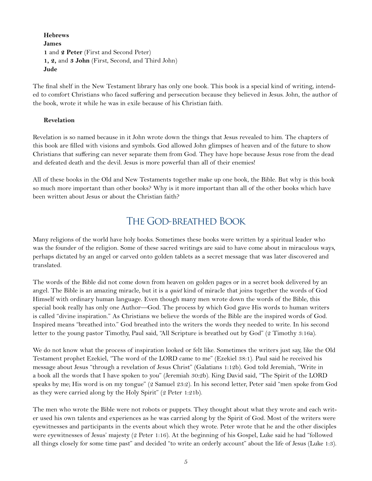**Hebrews James 1** and **2 Peter** (First and Second Peter) **1, 2,** and **3 John** (First, Second, and Third John) **Jude**

The final shelf in the New Testament library has only one book. This book is a special kind of writing, intended to comfort Christians who faced suffering and persecution because they believed in Jesus. John, the author of the book, wrote it while he was in exile because of his Christian faith.

#### **Revelation**

Revelation is so named because in it John wrote down the things that Jesus revealed to him. The chapters of this book are filled with visions and symbols. God allowed John glimpses of heaven and of the future to show Christians that suffering can never separate them from God. They have hope because Jesus rose from the dead and defeated death and the devil. Jesus is more powerful than all of their enemies!

All of these books in the Old and New Testaments together make up one book, the Bible. But why is this book so much more important than other books? Why is it more important than all of the other books which have been written about Jesus or about the Christian faith?

### The God-breathed Book

Many religions of the world have holy books. Sometimes these books were written by a spiritual leader who was the founder of the religion. Some of these sacred writings are said to have come about in miraculous ways, perhaps dictated by an angel or carved onto golden tablets as a secret message that was later discovered and translated.

The words of the Bible did not come down from heaven on golden pages or in a secret book delivered by an angel. The Bible is an amazing miracle, but it is a *quiet* kind of miracle that joins together the words of God Himself with ordinary human language. Even though many men wrote down the words of the Bible, this special book really has only one Author—God. The process by which God gave His words to human writers is called "divine inspiration." As Christians we believe the words of the Bible are the inspired words of God. Inspired means "breathed into." God breathed into the writers the words they needed to write. In his second letter to the young pastor Timothy, Paul said, "All Scripture is breathed out by God" (2 Timothy 3:16a).

We do not know what the process of inspiration looked or felt like. Sometimes the writers just say, like the Old Testament prophet Ezekiel, "The word of the LORD came to me" (Ezekiel 38:1). Paul said he received his message about Jesus "through a revelation of Jesus Christ" (Galatians 1:12b). God told Jeremiah, "Write in a book all the words that I have spoken to you" (Jeremiah 30:2b). King David said, "The Spirit of the LORD speaks by me; His word is on my tongue" (2 Samuel 23:2). In his second letter, Peter said "men spoke from God as they were carried along by the Holy Spirit" (2 Peter 1:21b).

The men who wrote the Bible were not robots or puppets. They thought about what they wrote and each writer used his own talents and experiences as he was carried along by the Spirit of God. Most of the writers were eyewitnesses and participants in the events about which they wrote. Peter wrote that he and the other disciples were eyewitnesses of Jesus' majesty (2 Peter 1:16). At the beginning of his Gospel, Luke said he had "followed all things closely for some time past" and decided "to write an orderly account" about the life of Jesus (Luke 1:3).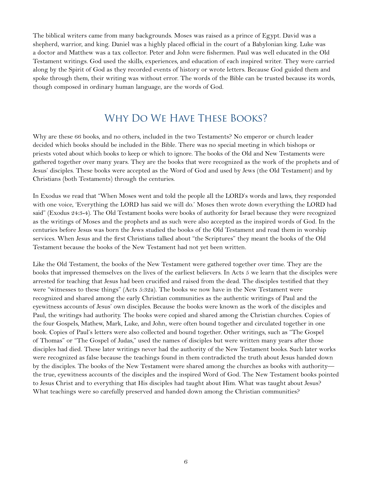The biblical writers came from many backgrounds. Moses was raised as a prince of Egypt. David was a shepherd, warrior, and king. Daniel was a highly placed official in the court of a Babylonian king. Luke was a doctor and Matthew was a tax collector. Peter and John were fishermen. Paul was well educated in the Old Testament writings. God used the skills, experiences, and education of each inspired writer. They were carried along by the Spirit of God as they recorded events of history or wrote letters. Because God guided them and spoke through them, their writing was without error. The words of the Bible can be trusted because its words, though composed in ordinary human language, are the words of God.

### Why Do We Have These Books?

Why are these 66 books, and no others, included in the two Testaments? No emperor or church leader decided which books should be included in the Bible. There was no special meeting in which bishops or priests voted about which books to keep or which to ignore. The books of the Old and New Testaments were gathered together over many years. They are the books that were recognized as the work of the prophets and of Jesus' disciples. These books were accepted as the Word of God and used by Jews (the Old Testament) and by Christians (both Testaments) through the centuries.

In Exodus we read that "When Moses went and told the people all the LORD's words and laws, they responded with one voice, 'Everything the LORD has said we will do.' Moses then wrote down everything the LORD had said" (Exodus 24:3-4). The Old Testament books were books of authority for Israel because they were recognized as the writings of Moses and the prophets and as such were also accepted as the inspired words of God. In the centuries before Jesus was born the Jews studied the books of the Old Testament and read them in worship services. When Jesus and the first Christians talked about "the Scriptures" they meant the books of the Old Testament because the books of the New Testament had not yet been written.

Like the Old Testament, the books of the New Testament were gathered together over time. They are the books that impressed themselves on the lives of the earliest believers. In Acts 5 we learn that the disciples were arrested for teaching that Jesus had been crucified and raised from the dead. The disciples testified that they were "witnesses to these things" (Acts 5:32a). The books we now have in the New Testament were recognized and shared among the early Christian communities as the authentic writings of Paul and the eyewitness accounts of Jesus' own disciples. Because the books were known as the work of the disciples and Paul, the writings had authority. The books were copied and shared among the Christian churches. Copies of the four Gospels, Mathew, Mark, Luke, and John, were often bound together and circulated together in one book. Copies of Paul's letters were also collected and bound together. Other writings, such as "The Gospel of Thomas" or "The Gospel of Judas," used the names of disciples but were written many years after those disciples had died. These later writings never had the authority of the New Testament books. Such later works were recognized as false because the teachings found in them contradicted the truth about Jesus handed down by the disciples. The books of the New Testament were shared among the churches as books with authority the true, eyewitness accounts of the disciples and the inspired Word of God. The New Testament books pointed to Jesus Christ and to everything that His disciples had taught about Him. What was taught about Jesus? What teachings were so carefully preserved and handed down among the Christian communities?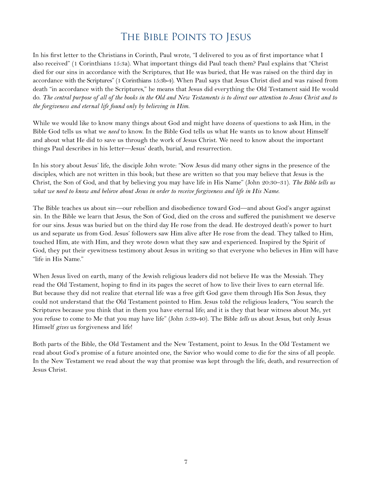## The Bible Points to Jesus

In his first letter to the Christians in Corinth, Paul wrote, "I delivered to you as of first importance what I also received" (1 Corinthians 15:3a). What important things did Paul teach them? Paul explains that "Christ died for our sins in accordance with the Scriptures, that He was buried, that He was raised on the third day in accordance with the Scriptures" (1 Corinthians 15:3b-4). When Paul says that Jesus Christ died and was raised from death "in accordance with the Scriptures," he means that Jesus did everything the Old Testament said He would do. *The central purpose of all of the books in the Old and New Testaments is to direct our attention to Jesus Christ and to the forgiveness and eternal life found only by believing in Him*.

While we would like to know many things about God and might have dozens of questions to ask Him, in the Bible God tells us what we *need* to know. In the Bible God tells us what He wants us to know about Himself and about what He did to save us through the work of Jesus Christ. We need to know about the important things Paul describes in his letter—Jesus' death, burial, and resurrection.

In his story about Jesus' life, the disciple John wrote: "Now Jesus did many other signs in the presence of the disciples, which are not written in this book; but these are written so that you may believe that Jesus is the Christ, the Son of God, and that by believing you may have life in His Name" (John 20:30–31). *The Bible tells us what we need to know and believe about Jesus in order to receive forgiveness and life in His Name*.

The Bible teaches us about sin—our rebellion and disobedience toward God—and about God's anger against sin. In the Bible we learn that Jesus, the Son of God, died on the cross and suffered the punishment we deserve for our sins. Jesus was buried but on the third day He rose from the dead. He destroyed death's power to hurt us and separate us from God. Jesus' followers saw Him alive after He rose from the dead. They talked to Him, touched Him, ate with Him, and they wrote down what they saw and experienced. Inspired by the Spirit of God, they put their eyewitness testimony about Jesus in writing so that everyone who believes in Him will have "life in His Name."

When Jesus lived on earth, many of the Jewish religious leaders did not believe He was the Messiah. They read the Old Testament, hoping to find in its pages the secret of how to live their lives to earn eternal life. But because they did not realize that eternal life was a free gift God gave them through His Son Jesus, they could not understand that the Old Testament pointed to Him. Jesus told the religious leaders, "You search the Scriptures because you think that in them you have eternal life; and it is they that bear witness about Me, yet you refuse to come to Me that you may have life" (John 5:39-40). The Bible *tells* us about Jesus, but only Jesus Himself *gives* us forgiveness and life!

Both parts of the Bible, the Old Testament and the New Testament, point to Jesus. In the Old Testament we read about God's promise of a future anointed one, the Savior who would come to die for the sins of all people. In the New Testament we read about the way that promise was kept through the life, death, and resurrection of Jesus Christ.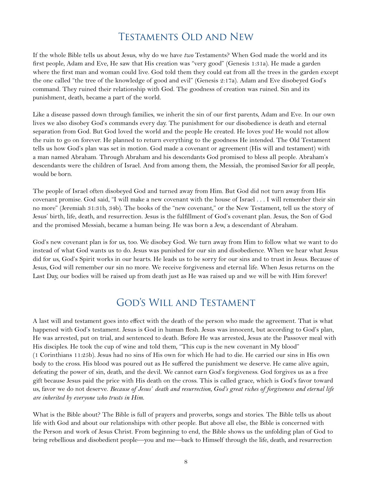### Testaments Old and New

If the whole Bible tells us about Jesus, why do we have *two* Testaments? When God made the world and its first people, Adam and Eve, He saw that His creation was "very good" (Genesis 1:31a). He made a garden where the first man and woman could live. God told them they could eat from all the trees in the garden except the one called "the tree of the knowledge of good and evil" (Genesis 2:17a). Adam and Eve disobeyed God's command. They ruined their relationship with God. The goodness of creation was ruined. Sin and its punishment, death, became a part of the world.

Like a disease passed down through families, we inherit the sin of our first parents, Adam and Eve. In our own lives we also disobey God's commands every day. The punishment for our disobedience is death and eternal separation from God. But God loved the world and the people He created. He loves you! He would not allow the ruin to go on forever. He planned to return everything to the goodness He intended. The Old Testament tells us how God's plan was set in motion. God made a covenant or agreement (His will and testament) with a man named Abraham. Through Abraham and his descendants God promised to bless all people. Abraham's descendants were the children of Israel. And from among them, the Messiah, the promised Savior for all people, would be born.

The people of Israel often disobeyed God and turned away from Him. But God did not turn away from His covenant promise. God said, "I will make a new covenant with the house of Israel . . . I will remember their sin no more" (Jeremiah 31:31b, 34b). The books of the "new covenant," or the New Testament, tell us the story of Jesus' birth, life, death, and resurrection. Jesus is the fulfillment of God's covenant plan. Jesus, the Son of God and the promised Messiah, became a human being. He was born a Jew, a descendant of Abraham.

God's new covenant plan is for us, too. We disobey God. We turn away from Him to follow what we want to do instead of what God wants us to do. Jesus was punished for our sin and disobedience. When we hear what Jesus did for us, God's Spirit works in our hearts. He leads us to be sorry for our sins and to trust in Jesus. Because of Jesus, God will remember our sin no more. We receive forgiveness and eternal life. When Jesus returns on the Last Day, our bodies will be raised up from death just as He was raised up and we will be with Him forever!

### God's Will and Testament

A last will and testament goes into effect with the death of the person who made the agreement. That is what happened with God's testament. Jesus is God in human flesh. Jesus was innocent, but according to God's plan, He was arrested, put on trial, and sentenced to death. Before He was arrested, Jesus ate the Passover meal with His disciples. He took the cup of wine and told them, "This cup is the new covenant in My blood" (1 Corinthians 11:25b). Jesus had no sins of His own for which He had to die. He carried our sins in His own body to the cross. His blood was poured out as He suffered the punishment we deserve. He came alive again, defeating the power of sin, death, and the devil. We cannot earn God's forgiveness. God forgives us as a free gift because Jesus paid the price with His death on the cross. This is called grace, which is God's favor toward us, favor we do not deserve. *Because of Jesus' death and resurrection, God's great riches of forgiveness and eternal life are inherited by everyone who trusts in Him*.

What is the Bible about? The Bible is full of prayers and proverbs, songs and stories. The Bible tells us about life with God and about our relationships with other people. But above all else, the Bible is concerned with the Person and work of Jesus Christ. From beginning to end, the Bible shows us the unfolding plan of God to bring rebellious and disobedient people—you and me—back to Himself through the life, death, and resurrection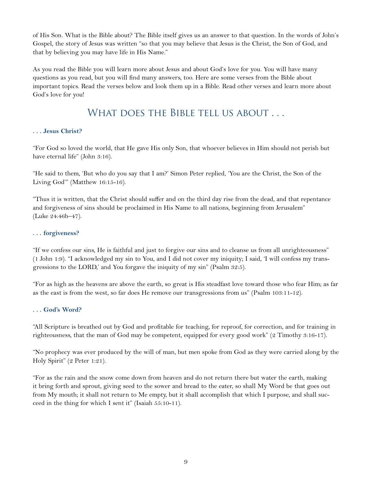of His Son. What is the Bible about? The Bible itself gives us an answer to that question. In the words of John's Gospel, the story of Jesus was written "so that you may believe that Jesus is the Christ, the Son of God, and that by believing you may have life in His Name."

As you read the Bible you will learn more about Jesus and about God's love for you. You will have many questions as you read, but you will find many answers, too. Here are some verses from the Bible about important topics. Read the verses below and look them up in a Bible. Read other verses and learn more about God's love for you!

### WHAT DOES THE BIBLE TELL US ABOUT . . .

#### **. . . Jesus Christ?**

"For God so loved the world, that He gave His only Son, that whoever believes in Him should not perish but have eternal life" (John 3:16).

"He said to them, 'But who do you say that I am?' Simon Peter replied, 'You are the Christ, the Son of the Living God'" (Matthew 16:15-16).

"Thus it is written, that the Christ should suffer and on the third day rise from the dead, and that repentance and forgiveness of sins should be proclaimed in His Name to all nations, beginning from Jerusalem" (Luke 24:46b–47).

#### **. . . forgiveness?**

"If we confess our sins, He is faithful and just to forgive our sins and to cleanse us from all unrighteousness" (1 John 1:9). "I acknowledged my sin to You, and I did not cover my iniquity; I said, 'I will confess my transgressions to the LORD,' and You forgave the iniquity of my sin" (Psalm 32:5).

"For as high as the heavens are above the earth, so great is His steadfast love toward those who fear Him; as far as the east is from the west, so far does He remove our transgressions from us" (Psalm 103:11-12).

#### **. . . God's Word?**

"All Scripture is breathed out by God and profitable for teaching, for reproof, for correction, and for training in righteousness, that the man of God may be competent, equipped for every good work" (2 Timothy 3:16-17).

"No prophecy was ever produced by the will of man, but men spoke from God as they were carried along by the Holy Spirit" (2 Peter 1:21).

"For as the rain and the snow come down from heaven and do not return there but water the earth, making it bring forth and sprout, giving seed to the sower and bread to the eater, so shall My Word be that goes out from My mouth; it shall not return to Me empty, but it shall accomplish that which I purpose, and shall succeed in the thing for which I sent it" (Isaiah 55:10-11).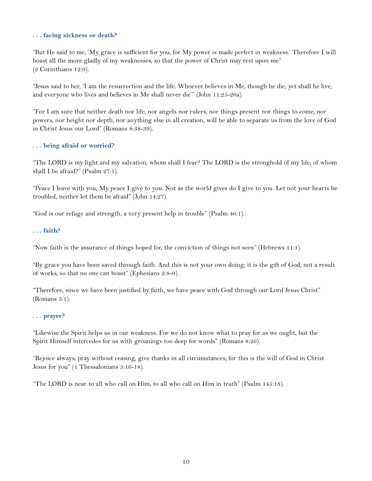#### **. . . facing sickness or death?**

"But He said to me, 'My grace is sufficient for you, for My power is made perfect in weakness.' Therefore I will boast all the more gladly of my weaknesses, so that the power of Christ may rest upon me" (2 Corinthians 12:9).

"Jesus said to her, 'I am the resurrection and the life. Whoever believes in Me, though he die, yet shall he live, and everyone who lives and believes in Me shall never die'" (John 11:25-26a).

"For I am sure that neither death nor life, nor angels nor rulers, nor things present nor things to come, nor powers, nor height nor depth, nor anything else in all creation, will be able to separate us from the love of God in Christ Jesus our Lord" (Romans 8:38-39).

#### **. . . being afraid or worried?**

"The LORD is my light and my salvation; whom shall I fear? The LORD is the stronghold of my life; of whom shall I be afraid?" (Psalm 27:1).

"Peace I leave with you; My peace I give to you. Not as the world gives do I give to you. Let not your hearts be troubled, neither let them be afraid" (John 14:27).

"God is our refuge and strength, a very present help in trouble" (Psalm 46:1).

#### **. . . faith?**

"Now faith is the assurance of things hoped for, the conviction of things not seen" (Hebrews 11:1).

"By grace you have been saved through faith. And this is not your own doing; it is the gift of God, not a result of works, so that no one can boast" (Ephesians 2:8-9).

"Therefore, since we have been justified by faith, we have peace with God through our Lord Jesus Christ" (Romans 5:1).

#### **. . . prayer?**

"Likewise the Spirit helps us in our weakness. For we do not know what to pray for as we ought, but the Spirit Himself intercedes for us with groanings too deep for words" (Romans 8:26).

"Rejoice always, pray without ceasing, give thanks in all circumstances; for this is the will of God in Christ Jesus for you" (1 Thessalonians 5:16-18).

"The LORD is near to all who call on Him, to all who call on Him in truth" (Psalm 145:18).